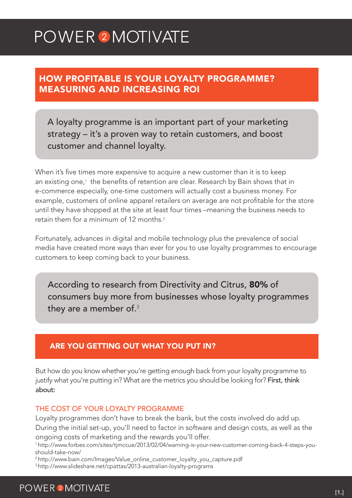# POWER<sup>2</sup>MOTIVATE

### HOW PROFITABLE IS YOUR LOYALTY PROGRAMME? MEASURING AND INCREASING ROI

A loyalty programme is an important part of your marketing strategy – it's a proven way to retain customers, and boost customer and channel loyalty.

When it's five times more expensive to acquire a new customer than it is to keep an existing one,<sup>1</sup> the benefits of retention are clear. Research by Bain shows that in e-commerce especially, one-time customers will actually cost a business money. For example, customers of online apparel retailers on average are not profitable for the store until they have shopped at the site at least four times –meaning the business needs to retain them for a minimum of 12 months<sup>2</sup>

Fortunately, advances in digital and mobile technology plus the prevalence of social media have created more ways than ever for you to use loyalty programmes to encourage customers to keep coming back to your business.

According to research from Directivity and Citrus, 80% of consumers buy more from businesses whose loyalty programmes they are a member of. $^3$ 

### ARE YOU GETTING OUT WHAT YOU PUT IN?

But how do you know whether you're getting enough back from your loyalty programme to justify what you're putting in? What are the metrics you should be looking for? First, think about:

#### THE COST OF YOUR LOYALTY PROGRAMME

Loyalty programmes don't have to break the bank, but the costs involved do add up. During the initial set-up, you'll need to factor in software and design costs, as well as the ongoing costs of marketing and the rewards you'll offer.

1 http://www.forbes.com/sites/tjmccue/2013/02/04/warning-is-your-new-customer-coming-back-4-steps-youshould-take-now/

2 http://www.bain.com/Images/Value\_online\_customer\_loyalty\_you\_capture.pdf

3 http://www.slideshare.net/cpattas/2013-australian-loyalty-programs

## **POWER 2 MOTIVATE**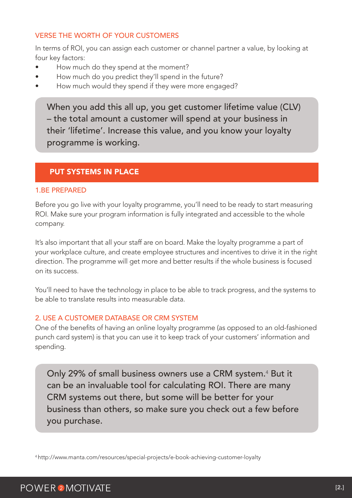#### VERSE THE WORTH OF YOUR CUSTOMERS

In terms of ROI, you can assign each customer or channel partner a value, by looking at four key factors:

- How much do they spend at the moment?
- How much do you predict they'll spend in the future?
- How much would they spend if they were more engaged?

When you add this all up, you get customer lifetime value (CLV) – the total amount a customer will spend at your business in their 'lifetime'. Increase this value, and you know your loyalty programme is working.

#### PUT SYSTEMS IN PLACE

#### 1.BE PREPARED

Before you go live with your loyalty programme, you'll need to be ready to start measuring ROI. Make sure your program information is fully integrated and accessible to the whole company.

It's also important that all your staff are on board. Make the loyalty programme a part of your workplace culture, and create employee structures and incentives to drive it in the right direction. The programme will get more and better results if the whole business is focused on its success.

You'll need to have the technology in place to be able to track progress, and the systems to be able to translate results into measurable data.

#### 2. USE A CUSTOMER DATABASE OR CRM SYSTEM

One of the benefits of having an online loyalty programme (as opposed to an old-fashioned punch card system) is that you can use it to keep track of your customers' information and spending.

Only 29% of small business owners use a CRM system.<sup>4</sup> But it can be an invaluable tool for calculating ROI. There are many CRM systems out there, but some will be better for your business than others, so make sure you check out a few before you purchase.

4 http://www.manta.com/resources/special-projects/e-book-achieving-customer-loyalty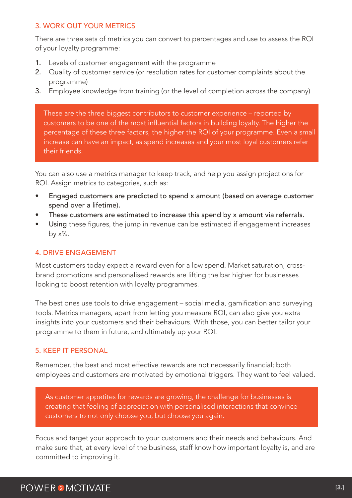#### 3. WORK OUT YOUR METRICS

There are three sets of metrics you can convert to percentages and use to assess the ROI of your loyalty programme:

- 1. Levels of customer engagement with the programme
- 2. Quality of customer service (or resolution rates for customer complaints about the programme)
- 3. Employee knowledge from training (or the level of completion across the company)

These are the three biggest contributors to customer experience – reported by customers to be one of the most influential factors in building loyalty. The higher the percentage of these three factors, the higher the ROI of your programme. Even a small increase can have an impact, as spend increases and your most loyal customers refer their friends.

You can also use a metrics manager to keep track, and help you assign projections for ROI. Assign metrics to categories, such as:

- Engaged customers are predicted to spend x amount (based on average customer spend over a lifetime).
- These customers are estimated to increase this spend by x amount via referrals.
- Using these figures, the jump in revenue can be estimated if engagement increases by  $x\%$ .

#### 4. DRIVE ENGAGEMENT

Most customers today expect a reward even for a low spend. Market saturation, crossbrand promotions and personalised rewards are lifting the bar higher for businesses looking to boost retention with loyalty programmes.

The best ones use tools to drive engagement – social media, gamification and surveying tools. Metrics managers, apart from letting you measure ROI, can also give you extra insights into your customers and their behaviours. With those, you can better tailor your programme to them in future, and ultimately up your ROI.

#### 5. KEEP IT PERSONAL

Remember, the best and most effective rewards are not necessarily financial; both employees and customers are motivated by emotional triggers. They want to feel valued.

As customer appetites for rewards are growing, the challenge for businesses is creating that feeling of appreciation with personalised interactions that convince customers to not only choose you, but choose you again.

Focus and target your approach to your customers and their needs and behaviours. And make sure that, at every level of the business, staff know how important loyalty is, and are committed to improving it.